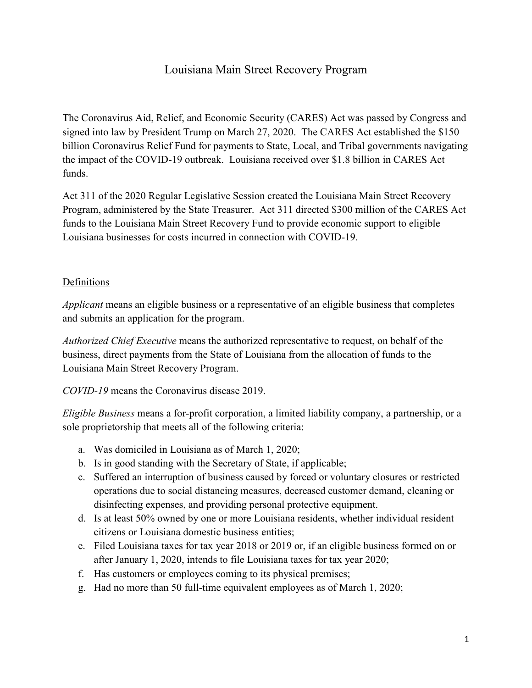# Louisiana Main Street Recovery Program

The Coronavirus Aid, Relief, and Economic Security (CARES) Act was passed by Congress and signed into law by President Trump on March 27, 2020. The CARES Act established the \$150 billion Coronavirus Relief Fund for payments to State, Local, and Tribal governments navigating the impact of the COVID-19 outbreak. Louisiana received over \$1.8 billion in CARES Act funds.

Act 311 of the 2020 Regular Legislative Session created the Louisiana Main Street Recovery Program, administered by the State Treasurer. Act 311 directed \$300 million of the CARES Act funds to the Louisiana Main Street Recovery Fund to provide economic support to eligible Louisiana businesses for costs incurred in connection with COVID-19.

#### Definitions

*Applicant* means an eligible business or a representative of an eligible business that completes and submits an application for the program.

*Authorized Chief Executive* means the authorized representative to request, on behalf of the business, direct payments from the State of Louisiana from the allocation of funds to the Louisiana Main Street Recovery Program.

*COVID-19* means the Coronavirus disease 2019.

*Eligible Business* means a for-profit corporation, a limited liability company, a partnership, or a sole proprietorship that meets all of the following criteria:

- a. Was domiciled in Louisiana as of March 1, 2020;
- b. Is in good standing with the Secretary of State, if applicable;
- c. Suffered an interruption of business caused by forced or voluntary closures or restricted operations due to social distancing measures, decreased customer demand, cleaning or disinfecting expenses, and providing personal protective equipment.
- d. Is at least 50% owned by one or more Louisiana residents, whether individual resident citizens or Louisiana domestic business entities;
- e. Filed Louisiana taxes for tax year 2018 or 2019 or, if an eligible business formed on or after January 1, 2020, intends to file Louisiana taxes for tax year 2020;
- f. Has customers or employees coming to its physical premises;
- g. Had no more than 50 full-time equivalent employees as of March 1, 2020;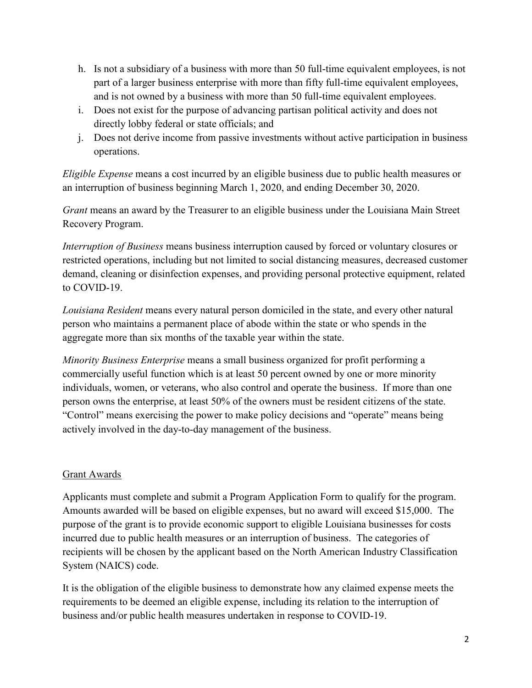- h. Is not a subsidiary of a business with more than 50 full-time equivalent employees, is not part of a larger business enterprise with more than fifty full-time equivalent employees, and is not owned by a business with more than 50 full-time equivalent employees.
- i. Does not exist for the purpose of advancing partisan political activity and does not directly lobby federal or state officials; and
- j. Does not derive income from passive investments without active participation in business operations.

*Eligible Expense* means a cost incurred by an eligible business due to public health measures or an interruption of business beginning March 1, 2020, and ending December 30, 2020.

*Grant* means an award by the Treasurer to an eligible business under the Louisiana Main Street Recovery Program.

*Interruption of Business* means business interruption caused by forced or voluntary closures or restricted operations, including but not limited to social distancing measures, decreased customer demand, cleaning or disinfection expenses, and providing personal protective equipment, related to COVID-19.

*Louisiana Resident* means every natural person domiciled in the state, and every other natural person who maintains a permanent place of abode within the state or who spends in the aggregate more than six months of the taxable year within the state.

*Minority Business Enterprise* means a small business organized for profit performing a commercially useful function which is at least 50 percent owned by one or more minority individuals, women, or veterans, who also control and operate the business. If more than one person owns the enterprise, at least 50% of the owners must be resident citizens of the state. "Control" means exercising the power to make policy decisions and "operate" means being actively involved in the day-to-day management of the business.

### Grant Awards

Applicants must complete and submit a Program Application Form to qualify for the program. Amounts awarded will be based on eligible expenses, but no award will exceed \$15,000. The purpose of the grant is to provide economic support to eligible Louisiana businesses for costs incurred due to public health measures or an interruption of business. The categories of recipients will be chosen by the applicant based on the North American Industry Classification System (NAICS) code.

It is the obligation of the eligible business to demonstrate how any claimed expense meets the requirements to be deemed an eligible expense, including its relation to the interruption of business and/or public health measures undertaken in response to COVID-19.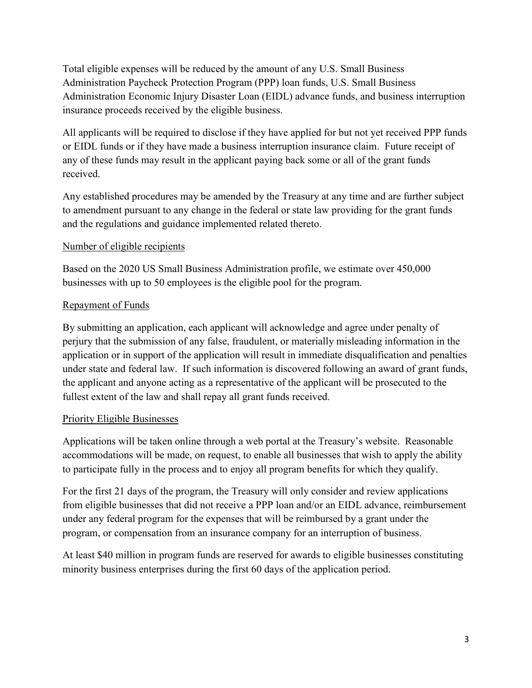Total eligible expenses will be reduced by the amount of any U.S. Small Business Administration Paycheck Protection Program (PPP) loan funds, U.S. Small Business Administration Economic Injury Disaster Loan (EIDL) advance funds, and business interruption insurance proceeds received by the eligible business.

All applicants will be required to disclose if they have applied for but not yet received PPP funds or EIDL funds or if they have made a business interruption insurance claim. Future receipt of any of these funds may result in the applicant paying back some or all of the grant funds received.

Any established procedures may be amended by the Treasury at any time and are further subject to amendment pursuant to any change in the federal or state law providing for the grant funds and the regulations and guidance implemented related thereto.

## Number of eligible recipients

Based on the 2020 US Small Business Administration profile, we estimate over 450,000 businesses with up to 50 employees is the eligible pool for the program.

# Repayment of Funds

By submitting an application, each applicant will acknowledge and agree under penalty of perjury that the submission of any false, fraudulent, or materially misleading information in the application or in support of the application will result in immediate disqualification and penalties under state and federal law. If such information is discovered following an award of grant funds, the applicant and anyone acting as a representative of the applicant will be prosecuted to the fullest extent of the law and shall repay all grant funds received.

# Priority Eligible Businesses

Applications will be taken online through a web portal at the Treasury's website. Reasonable accommodations will be made, on request, to enable all businesses that wish to apply the ability to participate fully in the process and to enjoy all program benefits for which they qualify.

For the first 21 days of the program, the Treasury will only consider and review applications from eligible businesses that did not receive a PPP loan and/or an EIDL advance, reimbursement under any federal program for the expenses that will be reimbursed by a grant under the program, or compensation from an insurance company for an interruption of business.

At least \$40 million in program funds are reserved for awards to eligible businesses constituting minority business enterprises during the first 60 days of the application period.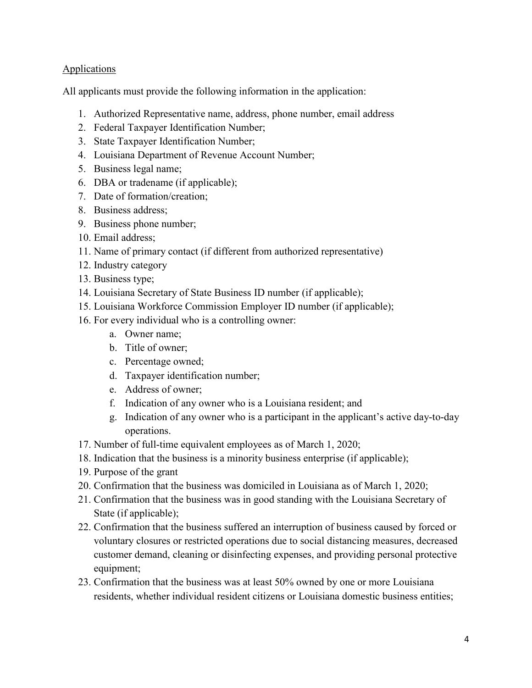### **Applications**

All applicants must provide the following information in the application:

- 1. Authorized Representative name, address, phone number, email address
- 2. Federal Taxpayer Identification Number;
- 3. State Taxpayer Identification Number;
- 4. Louisiana Department of Revenue Account Number;
- 5. Business legal name;
- 6. DBA or tradename (if applicable);
- 7. Date of formation/creation;
- 8. Business address;
- 9. Business phone number;
- 10. Email address;
- 11. Name of primary contact (if different from authorized representative)
- 12. Industry category
- 13. Business type;
- 14. Louisiana Secretary of State Business ID number (if applicable);
- 15. Louisiana Workforce Commission Employer ID number (if applicable);
- 16. For every individual who is a controlling owner:
	- a. Owner name;
	- b. Title of owner;
	- c. Percentage owned;
	- d. Taxpayer identification number;
	- e. Address of owner;
	- f. Indication of any owner who is a Louisiana resident; and
	- g. Indication of any owner who is a participant in the applicant's active day-to-day operations.
- 17. Number of full-time equivalent employees as of March 1, 2020;
- 18. Indication that the business is a minority business enterprise (if applicable);
- 19. Purpose of the grant
- 20. Confirmation that the business was domiciled in Louisiana as of March 1, 2020;
- 21. Confirmation that the business was in good standing with the Louisiana Secretary of State (if applicable);
- 22. Confirmation that the business suffered an interruption of business caused by forced or voluntary closures or restricted operations due to social distancing measures, decreased customer demand, cleaning or disinfecting expenses, and providing personal protective equipment;
- 23. Confirmation that the business was at least 50% owned by one or more Louisiana residents, whether individual resident citizens or Louisiana domestic business entities;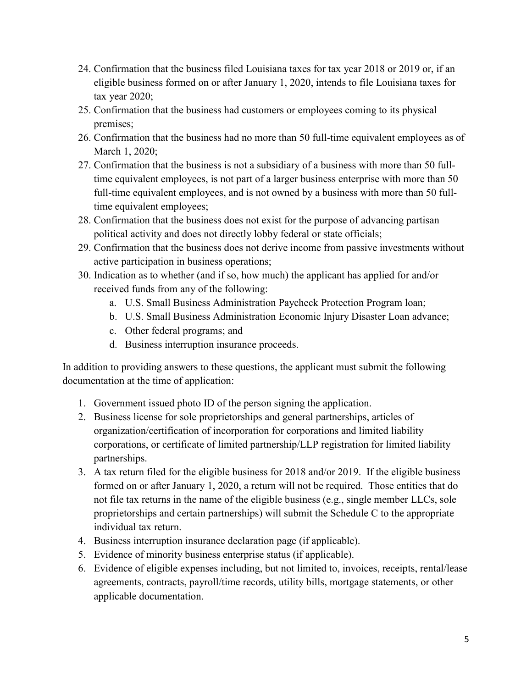- 24. Confirmation that the business filed Louisiana taxes for tax year 2018 or 2019 or, if an eligible business formed on or after January 1, 2020, intends to file Louisiana taxes for tax year 2020;
- 25. Confirmation that the business had customers or employees coming to its physical premises;
- 26. Confirmation that the business had no more than 50 full-time equivalent employees as of March 1, 2020;
- 27. Confirmation that the business is not a subsidiary of a business with more than 50 fulltime equivalent employees, is not part of a larger business enterprise with more than 50 full-time equivalent employees, and is not owned by a business with more than 50 fulltime equivalent employees;
- 28. Confirmation that the business does not exist for the purpose of advancing partisan political activity and does not directly lobby federal or state officials;
- 29. Confirmation that the business does not derive income from passive investments without active participation in business operations;
- 30. Indication as to whether (and if so, how much) the applicant has applied for and/or received funds from any of the following:
	- a. U.S. Small Business Administration Paycheck Protection Program loan;
	- b. U.S. Small Business Administration Economic Injury Disaster Loan advance;
	- c. Other federal programs; and
	- d. Business interruption insurance proceeds.

In addition to providing answers to these questions, the applicant must submit the following documentation at the time of application:

- 1. Government issued photo ID of the person signing the application.
- 2. Business license for sole proprietorships and general partnerships, articles of organization/certification of incorporation for corporations and limited liability corporations, or certificate of limited partnership/LLP registration for limited liability partnerships.
- 3. A tax return filed for the eligible business for 2018 and/or 2019. If the eligible business formed on or after January 1, 2020, a return will not be required. Those entities that do not file tax returns in the name of the eligible business (e.g., single member LLCs, sole proprietorships and certain partnerships) will submit the Schedule C to the appropriate individual tax return.
- 4. Business interruption insurance declaration page (if applicable).
- 5. Evidence of minority business enterprise status (if applicable).
- 6. Evidence of eligible expenses including, but not limited to, invoices, receipts, rental/lease agreements, contracts, payroll/time records, utility bills, mortgage statements, or other applicable documentation.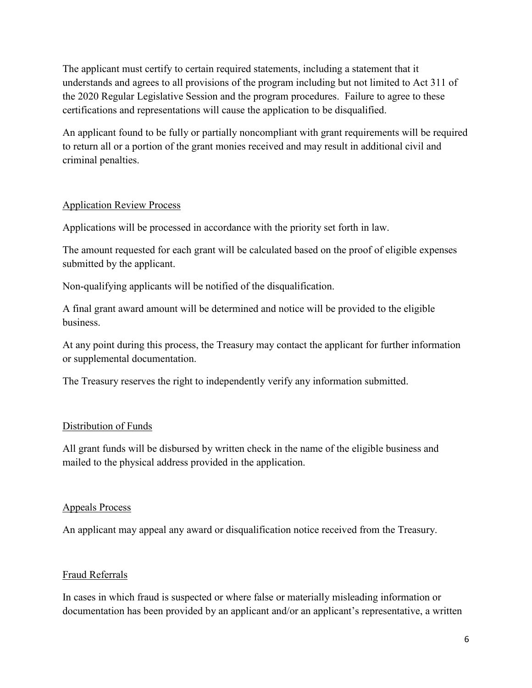The applicant must certify to certain required statements, including a statement that it understands and agrees to all provisions of the program including but not limited to Act 311 of the 2020 Regular Legislative Session and the program procedures. Failure to agree to these certifications and representations will cause the application to be disqualified.

An applicant found to be fully or partially noncompliant with grant requirements will be required to return all or a portion of the grant monies received and may result in additional civil and criminal penalties.

### Application Review Process

Applications will be processed in accordance with the priority set forth in law.

The amount requested for each grant will be calculated based on the proof of eligible expenses submitted by the applicant.

Non-qualifying applicants will be notified of the disqualification.

A final grant award amount will be determined and notice will be provided to the eligible business.

At any point during this process, the Treasury may contact the applicant for further information or supplemental documentation.

The Treasury reserves the right to independently verify any information submitted.

# Distribution of Funds

All grant funds will be disbursed by written check in the name of the eligible business and mailed to the physical address provided in the application.

### Appeals Process

An applicant may appeal any award or disqualification notice received from the Treasury.

### Fraud Referrals

In cases in which fraud is suspected or where false or materially misleading information or documentation has been provided by an applicant and/or an applicant's representative, a written